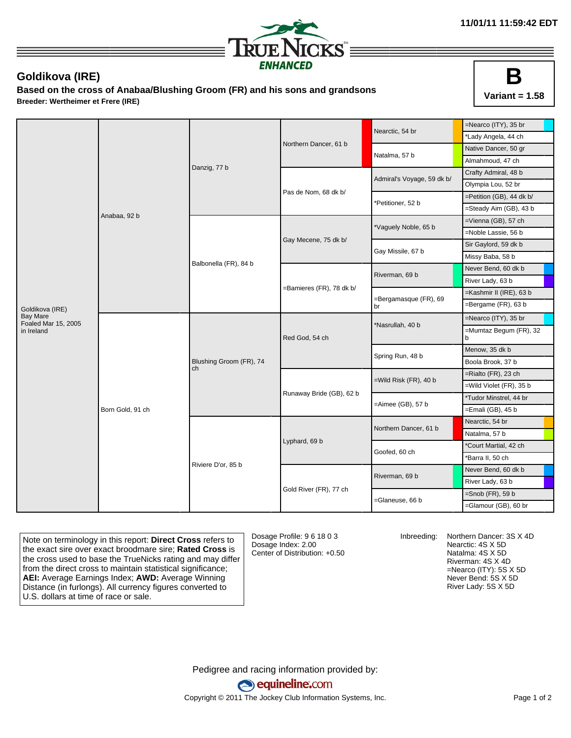

## **Goldikova (IRE)**

**Based on the cross of Anabaa/Blushing Groom (FR) and his sons and grandsons Breeder: Wertheimer et Frere (IRE)**



|                                        |                  |                               |                          | Nearctic, 54 br             | =Nearco (ITY), 35 br        |
|----------------------------------------|------------------|-------------------------------|--------------------------|-----------------------------|-----------------------------|
|                                        | Anabaa, 92 b     | Danzig, 77 b                  |                          |                             | *Lady Angela, 44 ch         |
|                                        |                  |                               | Northern Dancer, 61 b    | Natalma, 57 b               | Native Dancer, 50 gr        |
|                                        |                  |                               |                          |                             | Almahmoud, 47 ch            |
|                                        |                  |                               |                          | Admiral's Voyage, 59 dk b/  | Crafty Admiral, 48 b        |
|                                        |                  |                               |                          |                             | Olympia Lou, 52 br          |
|                                        |                  |                               | Pas de Nom, 68 dk b/     | Petitioner, 52 b            | =Petition (GB), 44 dk b/    |
|                                        |                  |                               |                          |                             | =Steady Aim (GB), 43 b      |
|                                        |                  | Balbonella (FR), 84 b         |                          |                             | =Vienna (GB), 57 ch         |
|                                        |                  |                               |                          | Vaguely Noble, 65 b         | =Noble Lassie, 56 b         |
|                                        |                  |                               | Gay Mecene, 75 dk b/     | Gay Missile, 67 b           | Sir Gaylord, 59 dk b        |
|                                        |                  |                               |                          |                             | Missy Baba, 58 b            |
|                                        |                  |                               |                          | Riverman, 69 b              | Never Bend, 60 dk b         |
|                                        |                  |                               |                          |                             | River Lady, 63 b            |
|                                        |                  |                               | =Bamieres (FR), 78 dk b/ | =Bergamasque (FR), 69<br>br | =Kashmir II (IRE), 63 b     |
| Goldikova (IRE)                        |                  |                               |                          |                             | =Bergame (FR), 63 b         |
| <b>Bay Mare</b><br>Foaled Mar 15, 2005 | Born Gold, 91 ch | Blushing Groom (FR), 74<br>ch |                          |                             | =Nearco (ITY), 35 br        |
| in Ireland                             |                  |                               | Red God, 54 ch           | *Nasrullah, 40 b            | =Mumtaz Begum (FR), 32<br>b |
|                                        |                  |                               |                          | Spring Run, 48 b            | Menow, 35 dk b              |
|                                        |                  |                               |                          |                             | Boola Brook, 37 b           |
|                                        |                  |                               |                          | =Wild Risk (FR), 40 b       | =Rialto (FR), 23 ch         |
|                                        |                  |                               |                          |                             | =Wild Violet (FR), 35 b     |
|                                        |                  |                               | Runaway Bride (GB), 62 b | =Aimee (GB), 57 b           | *Tudor Minstrel, 44 br      |
|                                        |                  |                               |                          |                             | =Emali (GB), 45 b           |
|                                        |                  | Riviere D'or, 85 b            |                          | Northern Dancer, 61 b       | Nearctic, 54 br             |
|                                        |                  |                               |                          |                             | Natalma, 57 b               |
|                                        |                  |                               | Lyphard, 69 b            | Goofed, 60 ch               | *Court Martial, 42 ch       |
|                                        |                  |                               |                          |                             | *Barra II, 50 ch            |
|                                        |                  |                               |                          | Riverman, 69 b              | Never Bend, 60 dk b         |
|                                        |                  |                               |                          |                             | River Lady, 63 b            |
|                                        |                  |                               | Gold River (FR), 77 ch   | =Glaneuse, 66 b             | $=$ Snob (FR), 59 b         |
|                                        |                  |                               |                          |                             | =Glamour (GB), 60 br        |

Note on terminology in this report: **Direct Cross** refers to the exact sire over exact broodmare sire; **Rated Cross** is the cross used to base the TrueNicks rating and may differ from the direct cross to maintain statistical significance; **AEI:** Average Earnings Index; **AWD:** Average Winning Distance (in furlongs). All currency figures converted to U.S. dollars at time of race or sale.

Dosage Profile: 9 6 18 0 3 Dosage Index: 2.00 Center of Distribution: +0.50

Inbreeding: Northern Dancer: 3S X 4D Nearctic: 4S X 5D Natalma: 4S X 5D Riverman: 4S X 4D =Nearco (ITY): 5S X 5D Never Bend: 5S X 5D River Lady: 5S X 5D